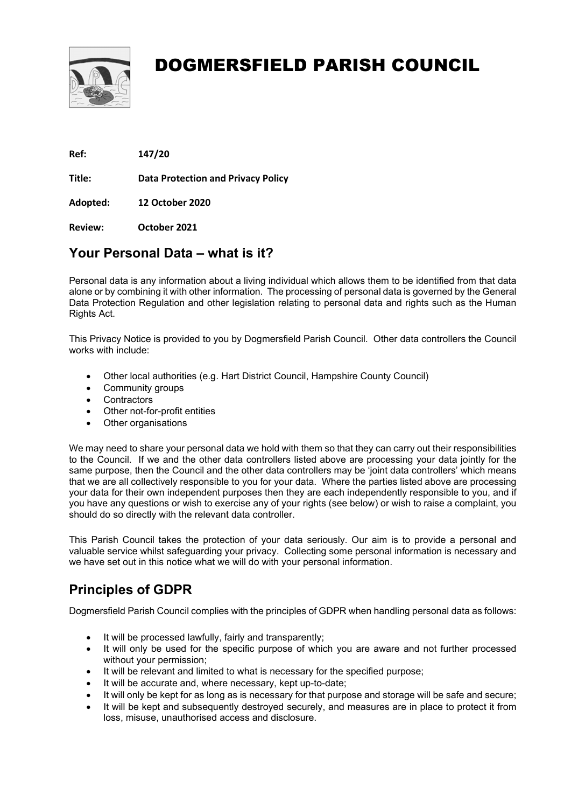

Ref: 147/20

Title: Data Protection and Privacy Policy

Adopted: 12 October 2020

Review: October 2021

### Your Personal Data – what is it?

Personal data is any information about a living individual which allows them to be identified from that data alone or by combining it with other information. The processing of personal data is governed by the General Data Protection Regulation and other legislation relating to personal data and rights such as the Human Rights Act.

This Privacy Notice is provided to you by Dogmersfield Parish Council. Other data controllers the Council works with include:

- Other local authorities (e.g. Hart District Council, Hampshire County Council)
- Community groups
- Contractors
- Other not-for-profit entities
- Other organisations

We may need to share your personal data we hold with them so that they can carry out their responsibilities to the Council. If we and the other data controllers listed above are processing your data jointly for the same purpose, then the Council and the other data controllers may be 'joint data controllers' which means that we are all collectively responsible to you for your data. Where the parties listed above are processing your data for their own independent purposes then they are each independently responsible to you, and if you have any questions or wish to exercise any of your rights (see below) or wish to raise a complaint, you should do so directly with the relevant data controller.

This Parish Council takes the protection of your data seriously. Our aim is to provide a personal and valuable service whilst safeguarding your privacy. Collecting some personal information is necessary and we have set out in this notice what we will do with your personal information.

### Principles of GDPR

Dogmersfield Parish Council complies with the principles of GDPR when handling personal data as follows:

- It will be processed lawfully, fairly and transparently:
- It will only be used for the specific purpose of which you are aware and not further processed without your permission;
- It will be relevant and limited to what is necessary for the specified purpose;
- It will be accurate and, where necessary, kept up-to-date;
- It will only be kept for as long as is necessary for that purpose and storage will be safe and secure;
- It will be kept and subsequently destroyed securely, and measures are in place to protect it from loss, misuse, unauthorised access and disclosure.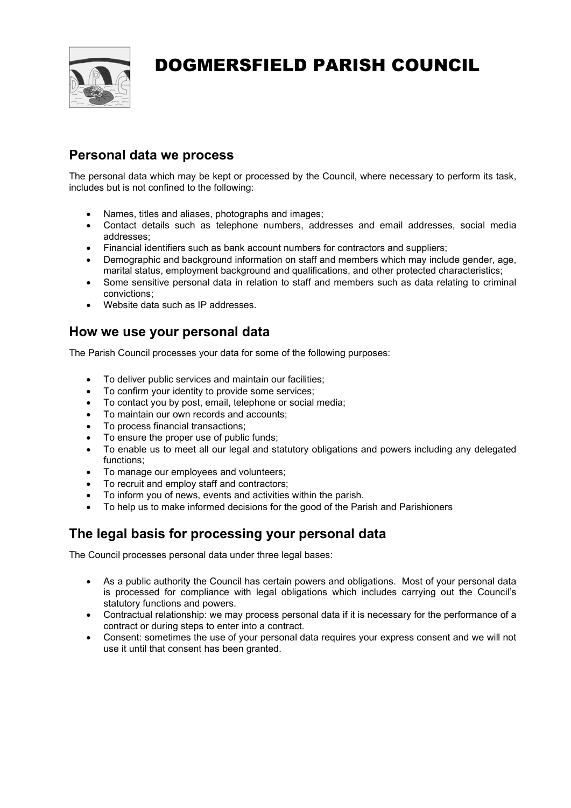

### Personal data we process

The personal data which may be kept or processed by the Council, where necessary to perform its task, includes but is not confined to the following:

- Names, titles and aliases, photographs and images;
- Contact details such as telephone numbers, addresses and email addresses, social media addresses;
- Financial identifiers such as bank account numbers for contractors and suppliers;
- Demographic and background information on staff and members which may include gender, age, marital status, employment background and qualifications, and other protected characteristics;
- Some sensitive personal data in relation to staff and members such as data relating to criminal convictions;
- Website data such as IP addresses.

#### How we use your personal data

The Parish Council processes your data for some of the following purposes:

- To deliver public services and maintain our facilities;
- To confirm your identity to provide some services;
- To contact you by post, email, telephone or social media;
- To maintain our own records and accounts;
- To process financial transactions;
- To ensure the proper use of public funds:
- To enable us to meet all our legal and statutory obligations and powers including any delegated functions;
- To manage our employees and volunteers;
- To recruit and employ staff and contractors;
- To inform you of news, events and activities within the parish.
- To help us to make informed decisions for the good of the Parish and Parishioners

### The legal basis for processing your personal data

The Council processes personal data under three legal bases:

- As a public authority the Council has certain powers and obligations. Most of your personal data is processed for compliance with legal obligations which includes carrying out the Council's statutory functions and powers.
- Contractual relationship: we may process personal data if it is necessary for the performance of a contract or during steps to enter into a contract.
- Consent: sometimes the use of your personal data requires your express consent and we will not use it until that consent has been granted.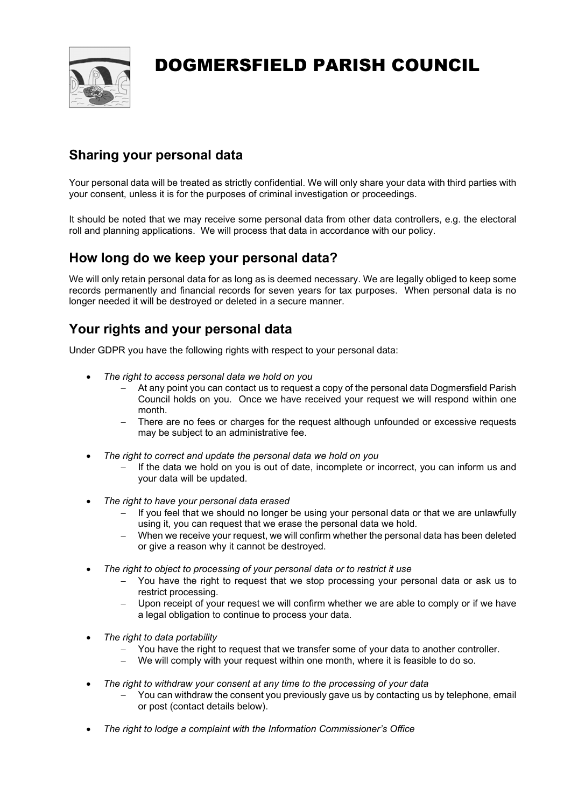

### Sharing your personal data

Your personal data will be treated as strictly confidential. We will only share your data with third parties with your consent, unless it is for the purposes of criminal investigation or proceedings.

It should be noted that we may receive some personal data from other data controllers, e.g. the electoral roll and planning applications. We will process that data in accordance with our policy.

#### How long do we keep your personal data?

We will only retain personal data for as long as is deemed necessary. We are legally obliged to keep some records permanently and financial records for seven years for tax purposes. When personal data is no longer needed it will be destroyed or deleted in a secure manner.

#### Your rights and your personal data

Under GDPR you have the following rights with respect to your personal data:

- The right to access personal data we hold on you
	- At any point you can contact us to request a copy of the personal data Dogmersfield Parish Council holds on you. Once we have received your request we will respond within one month.
	- There are no fees or charges for the request although unfounded or excessive requests may be subject to an administrative fee.
- The right to correct and update the personal data we hold on you
	- If the data we hold on you is out of date, incomplete or incorrect, you can inform us and your data will be updated.
- The right to have your personal data erased
	- If you feel that we should no longer be using your personal data or that we are unlawfully using it, you can request that we erase the personal data we hold.
	- When we receive your request, we will confirm whether the personal data has been deleted or give a reason why it cannot be destroyed.
- The right to object to processing of your personal data or to restrict it use
	- You have the right to request that we stop processing your personal data or ask us to restrict processing.
	- Upon receipt of your request we will confirm whether we are able to comply or if we have a legal obligation to continue to process your data.
- The right to data portability
	- You have the right to request that we transfer some of your data to another controller.
	- We will comply with your request within one month, where it is feasible to do so.
- The right to withdraw your consent at any time to the processing of your data
	- You can withdraw the consent you previously gave us by contacting us by telephone, email or post (contact details below).
- The right to lodge a complaint with the Information Commissioner's Office